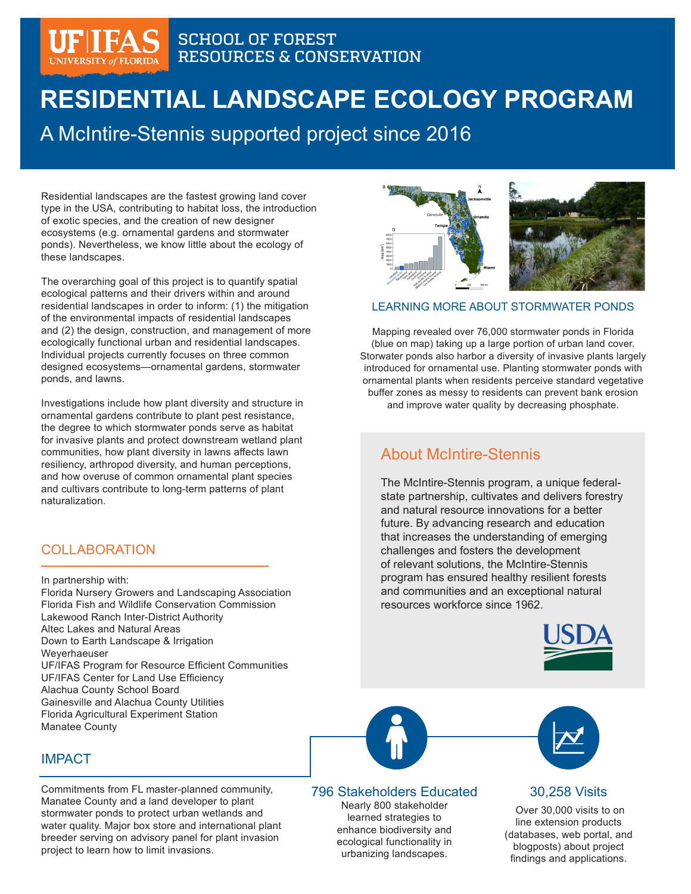## SCHOOL OF FOREST RESOURCES & CONSERVATION

# **RESIDENTIAL LANDSCAPE ECOLOGY PROGRAM**

A McIntire-Stennis supported project since 2016

Residential landscapes are the fastest growing land cover type in the USA, contributing to habitat loss, the introduction of exotic species, and the creation of new designer ecosystems (e.g. ornamental gardens and stormwater ponds). Nevertheless, we know little about the ecology of these landscapes.

The overarching goal of this project is to quantify spatial ecological patterns and their drivers within and around residential landscapes in order to inform: (1) the mitigation of the environmental impacts of residential landscapes and (2) the design, construction, and management of more ecologically functional urban and residential landscapes. Individual projects currently focuses on three common designed ecosystems—ornamental gardens, stormwater ponds, and lawns.

Investigations include how plant diversity and structure in ornamental gardens contribute to plant pest resistance, the degree to which stormwater ponds serve as habitat for invasive plants and protect downstream wetland plant communities, how plant diversity in lawns affects lawn resiliency, arthropod diversity, and human perceptions, and how overuse of common ornamental plant species and cultivars contribute to long-term patterns of plant naturalization.

## COLLABORATION

In partnership with:

Florida Nursery Growers and Landscaping Association Florida Fish and Wildlife Conservation Commission Lakewood Ranch Inter-District Authority Altec Lakes and Natural Areas Down to Earth Landscape & Irrigation Weyerhaeuser UF/IFAS Program for Resource Efficient Communities UF/IFAS Center for Land Use Efficiency Alachua County School Board Gainesville and Alachua County Utilities Florida Agricultural Experiment Station Manatee County

## IMPACT

Commitments from FL master-planned community, Manatee County and a land developer to plant stormwater ponds to protect urban wetlands and water quality. Major box store and international plant breeder serving on advisory panel for plant invasion project to learn how to limit invasions.



#### LEARNING MORE ABOUT STORMWATER PONDS

Mapping revealed over 76,000 stormwater ponds in Florida (blue on map) taking up a large portion of urban land cover. Storwater ponds also harbor a diversity of invasive plants largely introduced for ornamental use. Planting stormwater ponds with ornamental plants when residents perceive standard vegetative buffer zones as messy to residents can prevent bank erosion and improve water quality by decreasing phosphate.

# About McIntire-Stennis

The McIntire-Stennis program, a unique federalstate partnership, cultivates and delivers forestry and natural resource innovations for a better future. By advancing research and education that increases the understanding of emerging challenges and fosters the development of relevant solutions, the McIntire-Stennis program has ensured healthy resilient forests and communities and an exceptional natural resources workforce since 1962.





## 796 Stakeholders Educated

Nearly 800 stakeholder learned strategies to enhance biodiversity and ecological functionality in urbanizing landscapes.



### 30,258 Visits

 Over 30,000 visits to on line extension products (databases, web portal, and blogposts) about project findings and applications.